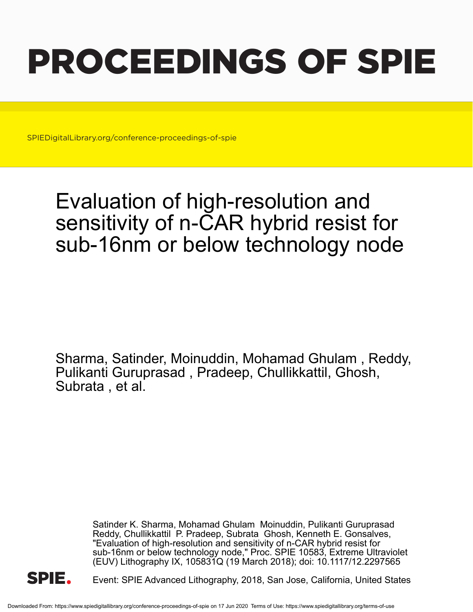# PROCEEDINGS OF SPIE

SPIEDigitalLibrary.org/conference-proceedings-of-spie

## Evaluation of high-resolution and sensitivity of n-CAR hybrid resist for sub-16nm or below technology node

Sharma, Satinder, Moinuddin, Mohamad Ghulam , Reddy, Pulikanti Guruprasad , Pradeep, Chullikkattil, Ghosh, Subrata , et al.

> Satinder K. Sharma, Mohamad Ghulam Moinuddin, Pulikanti Guruprasad Reddy, Chullikkattil P. Pradeep, Subrata Ghosh, Kenneth E. Gonsalves, "Evaluation of high-resolution and sensitivity of n-CAR hybrid resist for sub-16nm or below technology node," Proc. SPIE 10583, Extreme Ultraviolet (EUV) Lithography IX, 105831Q (19 March 2018); doi: 10.1117/12.2297565



Event: SPIE Advanced Lithography, 2018, San Jose, California, United States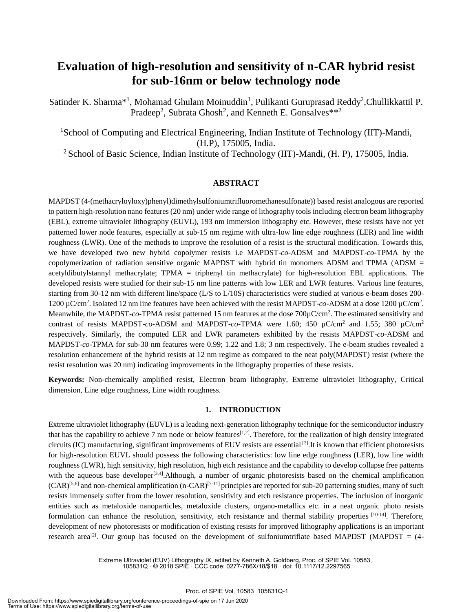### **Evaluation of high-resolution and sensitivity of n-CAR hybrid resist for sub-16nm or below technology node**

Satinder K. Sharma<sup>\*1</sup>, Mohamad Ghulam Moinuddin<sup>1</sup>, Pulikanti Guruprasad Reddy<sup>2</sup>, Chullikkattil P. Pradeep<sup>2</sup>, Subrata Ghosh<sup>2</sup>, and Kenneth E. Gonsalves\*\*<sup>2</sup>

<sup>1</sup>School of Computing and Electrical Engineering, Indian Institute of Technology (IIT)-Mandi, (H.P), 175005, India.

<sup>2</sup> School of Basic Science, Indian Institute of Technology (IIT)-Mandi, (H. P), 175005, India.

#### **ABSTRACT**

MAPDST (4-(methacryloyloxy)phenyl)dimethylsulfoniumtrifluoromethanesulfonate)) based resist analogous are reported to pattern high-resolution nano features (20 nm) under wide range of lithography tools including electron beam lithography (EBL), extreme ultraviolet lithography (EUVL), 193 nm immersion lithography etc. However, these resists have not yet patterned lower node features, especially at sub-15 nm regime with ultra-low line edge roughness (LER) and line width roughness (LWR). One of the methods to improve the resolution of a resist is the structural modification. Towards this, we have developed two new hybrid copolymer resists i.e MAPDST-*co*-ADSM and MAPDST-*co*-TPMA by the copolymerization of radiation sensitive organic MAPDST with hybrid tin monomers ADSM and TPMA (ADSM = acetyldibutylstannyl methacrylate; TPMA = triphenyl tin methacrylate) for high-resolution EBL applications. The developed resists were studied for their sub-15 nm line patterns with low LER and LWR features. Various line features, starting from 30-12 nm with different line/space (L/S to L/10S) characteristics were studied at various e-beam doses 200- 1200 µC/cm<sup>2</sup> . Isolated 12 nm line features have been achieved with the resist MAPDST-*co*-ADSM at a dose 1200 µC/cm<sup>2</sup> . Meanwhile, the MAPDST-*co*-TPMA resist patterned 15 nm features at the dose 700 $\mu$ C/cm<sup>2</sup>. The estimated sensitivity and contrast of resists MAPDST-*co*-ADSM and MAPDST-*co*-TPMA were 1.60; 450  $\mu$ C/cm<sup>2</sup> and 1.55; 380  $\mu$ C/cm<sup>2</sup> respectively. Similarly, the computed LER and LWR parameters exhibited by the resists MAPDST-*co*-ADSM and MAPDST-*co*-TPMA for sub-30 nm features were 0.99; 1.22 and 1.8; 3 nm respectively. The e-beam studies revealed a resolution enhancement of the hybrid resists at 12 nm regime as compared to the neat poly(MAPDST) resist (where the resist resolution was 20 nm) indicating improvements in the lithography properties of these resists.

**Keywords:** Non-chemically amplified resist, Electron beam lithography, Extreme ultraviolet lithography, Critical dimension, Line edge roughness, Line width roughness.

#### **1. INTRODUCTION**

Extreme ultraviolet lithography (EUVL) is a leading next-generation lithography technique for the semiconductor industry that has the capability to achieve 7 nm node or below features<sup>[1,2]</sup>. Therefore, for the realization of high density integrated circuits (IC) manufacturing, significant improvements of EUV resists are essential  $^{[2]}$ . It is known that efficient photoresists for high-resolution EUVL should possess the following characteristics: low line edge roughness (LER), low line width roughness (LWR), high sensitivity, high resolution, high etch resistance and the capability to develop collapse free patterns with the aqueous base developer<sup>[3,4]</sup>. Although, a number of organic photoresists based on the chemical amplification  $(CAR)^{[5,6]}$  and non-chemical amplification (n-CAR)<sup>[7-11]</sup> principles are reported for sub-20 patterning studies, many of such resists immensely suffer from the lower resolution, sensitivity and etch resistance properties. The inclusion of inorganic entities such as metaloxide nanoparticles, metaloxide clusters, organo-metallics etc. in a neat organic photo resists formulation can enhance the resolution, sensitivity, etch resistance and thermal stability properties <sup>[10-14]</sup>. Therefore, development of new photoresists or modification of existing resists for improved lithography applications is an important research area<sup>[2]</sup>. Our group has focused on the development of sulfoniumtriflate based MAPDST (MAPDST =  $(4-$ 

> Extreme Ultraviolet (EUV) Lithography IX, edited by Kenneth A. Goldberg, Proc. of SPIE Vol. 10583, 105831Q · © 2018 SPIE · CCC code: 0277-786X/18/\$18 · doi: 10.1117/12.2297565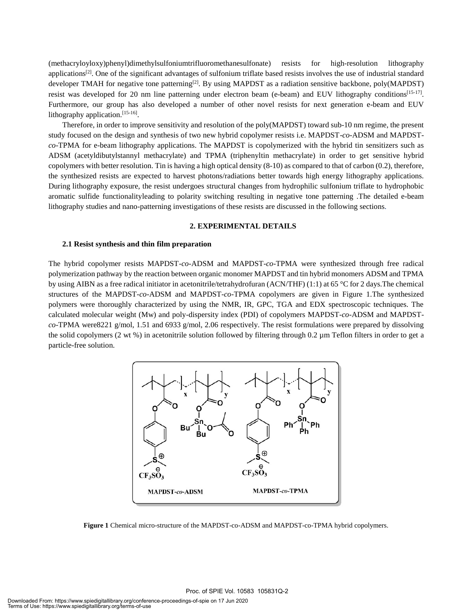(methacryloyloxy)phenyl)dimethylsulfoniumtrifluoromethanesulfonate) resists for high-resolution lithography applications<sup>[2]</sup>. One of the significant advantages of sulfonium triflate based resists involves the use of industrial standard developer TMAH for negative tone patterning<sup>[2]</sup>. By using MAPDST as a radiation sensitive backbone, poly(MAPDST) resist was developed for 20 nm line patterning under electron beam (e-beam) and EUV lithography conditions<sup>[15-17]</sup>. Furthermore, our group has also developed a number of other novel resists for next generation e-beam and EUV lithography application.<sup>[15-16]</sup>.

Therefore, in order to improve sensitivity and resolution of the poly(MAPDST) toward sub-10 nm regime, the present study focused on the design and synthesis of two new hybrid copolymer resists i.e. MAPDST-*co*-ADSM and MAPDST*co*-TPMA for e-beam lithography applications. The MAPDST is copolymerized with the hybrid tin sensitizers such as ADSM (acetyldibutylstannyl methacrylate) and TPMA (triphenyltin methacrylate) in order to get sensitive hybrid copolymers with better resolution. Tin is having a high optical density (8-10) as compared to that of carbon (0.2), therefore, the synthesized resists are expected to harvest photons/radiations better towards high energy lithography applications. During lithography exposure, the resist undergoes structural changes from hydrophilic sulfonium triflate to hydrophobic aromatic sulfide functionalityleading to polarity switching resulting in negative tone patterning .The detailed e-beam lithography studies and nano-patterning investigations of these resists are discussed in the following sections.

#### **2. EXPERIMENTAL DETAILS**

#### **2.1 Resist synthesis and thin film preparation**

The hybrid copolymer resists MAPDST-*co*-ADSM and MAPDST-*co*-TPMA were synthesized through free radical polymerization pathway by the reaction between organic monomer MAPDST and tin hybrid monomers ADSM and TPMA by using AIBN as a free radical initiator in acetonitrile/tetrahydrofuran (ACN/THF) (1:1) at 65 °C for 2 days.The chemical structures of the MAPDST*-co-*ADSM and MAPDST-*co*-TPMA copolymers are given in Figure 1.The synthesized polymers were thoroughly characterized by using the NMR, IR, GPC, TGA and EDX spectroscopic techniques. The calculated molecular weight (Mw) and poly-dispersity index (PDI) of copolymers MAPDST-*co*-ADSM and MAPDST*co*-TPMA were8221 g/mol, 1.51 and 6933 g/mol, 2.06 respectively. The resist formulations were prepared by dissolving the solid copolymers (2 wt %) in acetonitrile solution followed by filtering through 0.2 µm Teflon filters in order to get a particle-free solution.



**Figure 1** Chemical micro-structure of the MAPDST-co-ADSM and MAPDST-co-TPMA hybrid copolymers.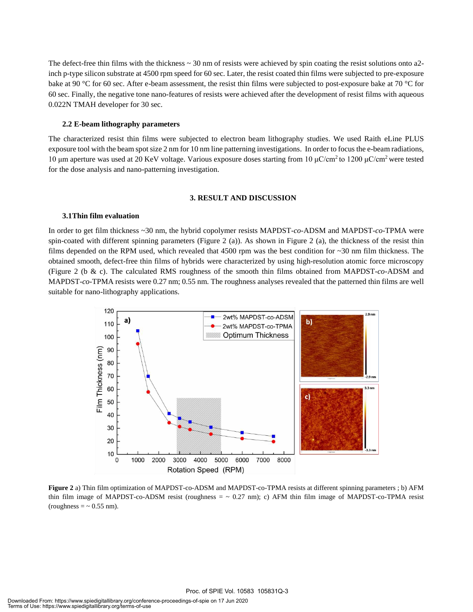The defect-free thin films with the thickness  $\sim$  30 nm of resists were achieved by spin coating the resist solutions onto a2inch p-type silicon substrate at 4500 rpm speed for 60 sec. Later, the resist coated thin films were subjected to pre-exposure bake at 90 °C for 60 sec. After e-beam assessment, the resist thin films were subjected to post-exposure bake at 70 °C for 60 sec. Finally, the negative tone nano-features of resists were achieved after the development of resist films with aqueous 0.022N TMAH developer for 30 sec.

#### **2.2 E-beam lithography parameters**

The characterized resist thin films were subjected to electron beam lithography studies. We used Raith eLine PLUS exposure tool with the beam spot size 2 nm for 10 nm line patterning investigations. In order to focus the e-beam radiations, 10 μm aperture was used at 20 KeV voltage. Various exposure doses starting from 10 μC/cm<sup>2</sup> to 1200 μC/cm<sup>2</sup> were tested for the dose analysis and nano-patterning investigation.

#### **3. RESULT AND DISCUSSION**

#### **3.1Thin film evaluation**

In order to get film thickness ~30 nm, the hybrid copolymer resists MAPDST-*co*-ADSM and MAPDST-*co*-TPMA were spin-coated with different spinning parameters (Figure 2 (a)). As shown in Figure 2 (a), the thickness of the resist thin films depended on the RPM used, which revealed that  $4500$  rpm was the best condition for  $\sim$ 30 nm film thickness. The obtained smooth, defect-free thin films of hybrids were characterized by using high-resolution atomic force microscopy (Figure 2 (b & c). The calculated RMS roughness of the smooth thin films obtained from MAPDST-*co*-ADSM and MAPDST-*co*-TPMA resists were 0.27 nm; 0.55 nm. The roughness analyses revealed that the patterned thin films are well suitable for nano-lithography applications.



**Figure 2** a) Thin film optimization of MAPDST-co-ADSM and MAPDST-co-TPMA resists at different spinning parameters ; b) AFM thin film image of MAPDST-co-ADSM resist (roughness  $=$   $\sim$  0.27 nm); c) AFM thin film image of MAPDST-co-TPMA resist (roughness  $=$   $\sim$  0.55 nm).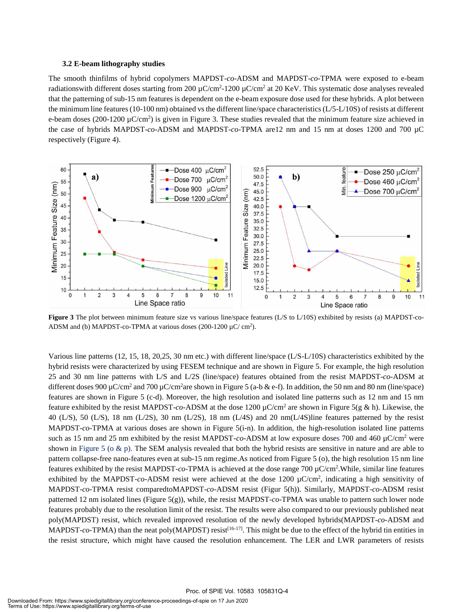#### **3.2 E-beam lithography studies**

The smooth thinfilms of hybrid copolymers MAPDST-*co*-ADSM and MAPDST-*co*-TPMA were exposed to e-beam radiationswith different doses starting from 200  $\mu$ C/cm<sup>2</sup>-1200  $\mu$ C/cm<sup>2</sup> at 20 KeV. This systematic dose analyses revealed that the patterning of sub-15 nm features is dependent on the e-beam exposure dose used for these hybrids. A plot between the minimum line features (10-100 nm) obtained vs the different line/space characteristics (L/5-L/10S) of resists at different e-beam doses (200-1200  $\mu$ C/cm<sup>2</sup>) is given in Figure 3. These studies revealed that the minimum feature size achieved in the case of hybrids MAPDST-*co*-ADSM and MAPDST-*co*-TPMA are12 nm and 15 nm at doses 1200 and 700 µC respectively (Figure 4).



**Figure 3** The plot between minimum feature size vs various line/space features (L/S to L/10S) exhibited by resists (a) MAPDST-co-ADSM and (b) MAPDST-co-TPMA at various doses  $(200-1200 \mu C/cm^2)$ .

Various line patterns (12, 15, 18, 20,25, 30 nm etc.) with different line/space (L/S-L/10S) characteristics exhibited by the hybrid resists were characterized by using FESEM technique and are shown in Figure 5. For example, the high resolution 25 and 30 nm line patterns with L/S and L/2S (line/space) features obtained from the resist MAPDST-*co*-ADSM at different doses 900 µC/cm<sup>2</sup> and 700 µC/cm<sup>2</sup>are shown in Figure 5 (a-b & e-f). In addition, the 50 nm and 80 nm (line/space) features are shown in Figure 5 (c-d). Moreover, the high resolution and isolated line patterns such as 12 nm and 15 nm feature exhibited by the resist MAPDST-*co*-ADSM at the dose 1200 µC/cm<sup>2</sup> are shown in Figure 5(g & h). Likewise, the 40 (L/S), 50 (L/S), 18 nm (L/2S), 30 nm (L/2S), 18 nm (L/4S) and 20 nm(L/4S)line features patterned by the resist MAPDST-*co*-TPMA at various doses are shown in Figure 5(i-n). In addition, the high-resolution isolated line patterns such as 15 nm and 25 nm exhibited by the resist MAPDST-*co*-ADSM at low exposure doses 700 and 460 µC/cm<sup>2</sup> were shown in Figure 5 ( $\alpha \& p$ ). The SEM analysis revealed that both the hybrid resists are sensitive in nature and are able to pattern collapse-free nano-features even at sub-15 nm regime.As noticed from Figure 5 (o), the high resolution 15 nm line features exhibited by the resist MAPDST-*co*-TPMA is achieved at the dose range 700 µC/cm<sup>2</sup> .While, similar line features exhibited by the MAPDST-co-ADSM resist were achieved at the dose 1200 µC/cm<sup>2</sup>, indicating a high sensitivity of MAPDST-*co*-TPMA resist comparedtoMAPDST-*co*-ADSM resist (Figur 5(h)). Similarly, MAPDST-*co*-ADSM resist patterned 12 nm isolated lines (Figure 5(g)), while, the resist MAPDST-*co*-TPMA was unable to pattern such lower node features probably due to the resolution limit of the resist. The results were also compared to our previously published neat poly(MAPDST) resist, which revealed improved resolution of the newly developed hybrids(MAPDST-*co*-ADSM and MAPDST- $co$ -TPMA) than the neat poly(MAPDST) resist<sup>[16-17]</sup>. This might be due to the effect of the hybrid tin entities in the resist structure, which might have caused the resolution enhancement. The LER and LWR parameters of resists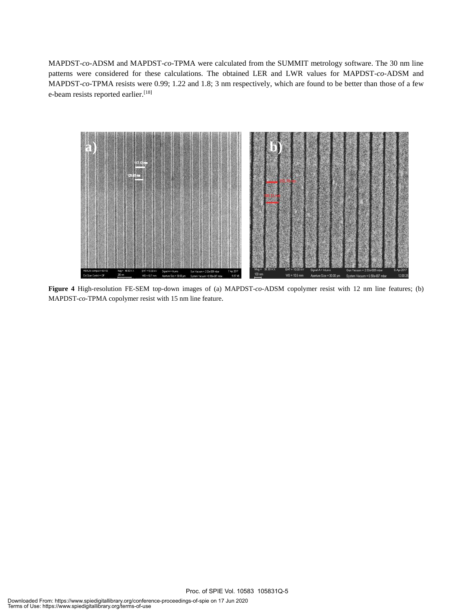MAPDST-*co*-ADSM and MAPDST-*co*-TPMA were calculated from the SUMMIT metrology software. The 30 nm line patterns were considered for these calculations. The obtained LER and LWR values for MAPDST-*co*-ADSM and MAPDST-*co*-TPMA resists were 0.99; 1.22 and 1.8; 3 nm respectively, which are found to be better than those of a few e-beam resists reported earlier.<sup>[18]</sup>



**Figure 4** High-resolution FE-SEM top-down images of (a) MAPDST-*co*-ADSM copolymer resist with 12 nm line features; (b) MAPDST-*co*-TPMA copolymer resist with 15 nm line feature.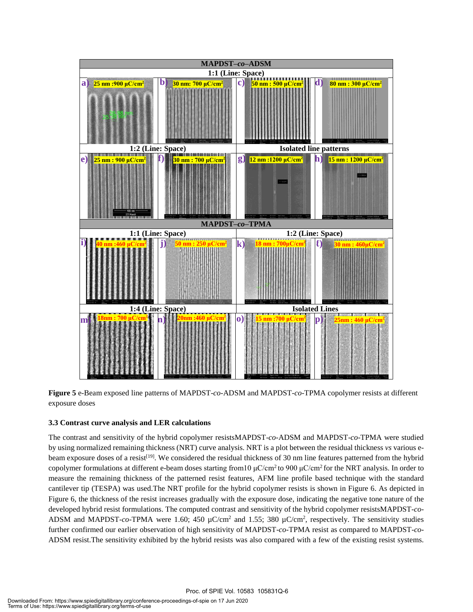

**Figure 5** e-Beam exposed line patterns of MAPDST-*co*-ADSM and MAPDST-*co*-TPMA copolymer resists at different exposure doses

#### **3.3 Contrast curve analysis and LER calculations**

The contrast and sensitivity of the hybrid copolymer resistsMAPDST-*co*-ADSM and MAPDST-*co*-TPMA were studied by using normalized remaining thickness (NRT) curve analysis. NRT is a plot between the residual thickness *vs* various ebeam exposure doses of a resist<sup>[19]</sup>. We considered the residual thickness of 30 nm line features patterned from the hybrid copolymer formulations at different e-beam doses starting from 10 μC/cm<sup>2</sup> to 900 μC/cm<sup>2</sup> for the NRT analysis. In order to measure the remaining thickness of the patterned resist features, AFM line profile based technique with the standard cantilever tip (TESPA) was used.The NRT profile for the hybrid copolymer resists is shown in Figure 6. As depicted in Figure 6, the thickness of the resist increases gradually with the exposure dose, indicating the negative tone nature of the developed hybrid resist formulations. The computed contrast and sensitivity of the hybrid copolymer resistsMAPDST-*co*-ADSM and MAPDST-co-TPMA were 1.60; 450  $\mu$ C/cm<sup>2</sup> and 1.55; 380  $\mu$ C/cm<sup>2</sup>, respectively. The sensitivity studies further confirmed our earlier observation of high sensitivity of MAPDST-*co*-TPMA resist as compared to MAPDST-*co*-ADSM resist.The sensitivity exhibited by the hybrid resists was also compared with a few of the existing resist systems.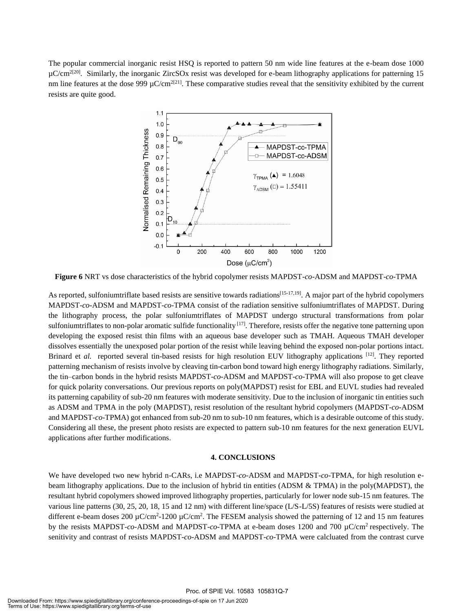The popular commercial inorganic resist HSQ is reported to pattern 50 nm wide line features at the e-beam dose 1000 µC/cm<sup>2[20]</sup>. Similarly, the inorganic ZircSOx resist was developed for e-beam lithography applications for patterning 15 nm line features at the dose  $999 \mu C/cm^{2[21]}$ . These comparative studies reveal that the sensitivity exhibited by the current resists are quite good.



**Figure 6** NRT vs dose characteristics of the hybrid copolymer resists MAPDST-*co*-ADSM and MAPDST-*co*-TPMA

As reported, sulfoniumtriflate based resists are sensitive towards radiations<sup>[15-17,19]</sup>. A major part of the hybrid copolymers MAPDST-*co*-ADSM and MAPDST-*co*-TPMA consist of the radiation sensitive sulfoniumtriflates of MAPDST. During the lithography process, the polar sulfoniumtriflates of MAPDST undergo structural transformations from polar sulfoniumtriflates to non-polar aromatic sulfide functionality  $[17]$ . Therefore, resists offer the negative tone patterning upon developing the exposed resist thin films with an aqueous base developer such as TMAH. Aqueous TMAH developer dissolves essentially the unexposed polar portion of the resist while leaving behind the exposed non-polar portions intact. Brinard et *al.* reported several tin-based resists for high resolution EUV lithography applications <sup>[12]</sup>. They reported patterning mechanism of resists involve by cleaving tin-carbon bond toward high energy lithography radiations. Similarly, the tin‒carbon bonds in the hybrid resists MAPDST-*co*-ADSM and MAPDST-*co*-TPMA will also propose to get cleave for quick polarity conversations. Our previous reports on poly(MAPDST) resist for EBL and EUVL studies had revealed its patterning capability of sub-20 nm features with moderate sensitivity. Due to the inclusion of inorganic tin entities such as ADSM and TPMA in the poly (MAPDST), resist resolution of the resultant hybrid copolymers (MAPDST-*co*-ADSM and MAPDST-*co*-TPMA) got enhanced from sub-20 nm to sub-10 nm features, which is a desirable outcome of this study. Considering all these, the present photo resists are expected to pattern sub-10 nm features for the next generation EUVL applications after further modifications.

#### **4. CONCLUSIONS**

We have developed two new hybrid n-CARs, i.e MAPDST-*co*-ADSM and MAPDST-*co*-TPMA, for high resolution ebeam lithography applications. Due to the inclusion of hybrid tin entities (ADSM & TPMA) in the poly(MAPDST), the resultant hybrid copolymers showed improved lithography properties, particularly for lower node sub-15 nm features. The various line patterns (30, 25, 20, 18, 15 and 12 nm) with different line/space (L/S-L/5S) features of resists were studied at different e-beam doses 200  $\mu$ C/cm<sup>2</sup>-1200  $\mu$ C/cm<sup>2</sup>. The FESEM analysis showed the patterning of 12 and 15 nm features by the resists MAPDST-*co*-ADSM and MAPDST-*co*-TPMA at e-beam doses 1200 and 700 µC/cm<sup>2</sup>respectively. The senitivity and contrast of resists MAPDST-*co*-ADSM and MAPDST-*co*-TPMA were calcluated from the contrast curve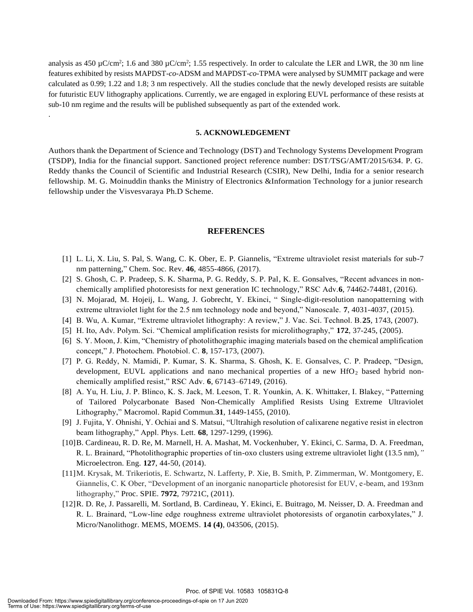analysis as 450  $\mu$ C/cm<sup>2</sup>; 1.6 and 380  $\mu$ C/cm<sup>2</sup>; 1.55 respectively. In order to calculate the LER and LWR, the 30 nm line features exhibited by resists MAPDST-*co*-ADSM and MAPDST-*co*-TPMA were analysed by SUMMIT package and were calculated as 0.99; 1.22 and 1.8; 3 nm respectively. All the studies conclude that the newly developed resists are suitable for futuristic EUV lithography applications. Currently, we are engaged in exploring EUVL performance of these resists at sub-10 nm regime and the results will be published subsequently as part of the extended work.

#### **5. ACKNOWLEDGEMENT**

Authors thank the Department of Science and Technology (DST) and Technology Systems Development Program (TSDP), India for the financial support. Sanctioned project reference number: DST/TSG/AMT/2015/634. P. G. Reddy thanks the Council of Scientific and Industrial Research (CSIR), New Delhi, India for a senior research fellowship. M. G. Moinuddin thanks the Ministry of Electronics &Information Technology for a junior research fellowship under the Visvesvaraya Ph.D Scheme.

#### **REFERENCES**

- [1] L. Li, X. Liu, S. Pal, S. Wang, C. K. Ober, E. P. Giannelis, "Extreme ultraviolet resist materials for sub-7 nm patterning," Chem. Soc. Rev. **46**, 4855-4866, (2017).
- [2] S. Ghosh, C. P. Pradeep, S. K. Sharma, P. G. Reddy, S. P. Pal, K. E. Gonsalves, "Recent advances in nonchemically amplified photoresists for next generation IC technology," RSC Adv.**6**, 74462-74481, (2016).
- [3] N. Mojarad, M. Hojeij, L. Wang, J. Gobrecht, Y. Ekinci, " Single-digit-resolution nanopatterning with extreme ultraviolet light for the 2.5 nm technology node and beyond," Nanoscale. **7**, 4031-4037, (2015).
- [4] B. Wu, A. Kumar, "Extreme ultraviolet lithography: A review," J. Vac. Sci. Technol. B.**25**, 1743, (2007).
- [5] H. Ito, Adv. Polym. Sci. "Chemical amplification resists for microlithography," **172**, 37-245, (2005).
- [6] S. Y. Moon, J. Kim, "Chemistry of photolithographic imaging materials based on the chemical amplification concept," J. Photochem. Photobiol. C. **8**, 157-173, (2007).
- [7] P. G. Reddy, N. Mamidi, P. Kumar, S. K. Sharma, S. Ghosh, K. E. Gonsalves, C. P. Pradeep, "Design, development, EUVL applications and nano mechanical properties of a new  $HfO<sub>2</sub>$  based hybrid nonchemically amplified resist," RSC Adv. **6**, 67143–67149, (2016).
- [8] A. Yu, H. Liu, J. P. Blinco, K. S. Jack, M. Leeson, T. R. Younkin, A. K. Whittaker, I. Blakey, "Patterning of Tailored Polycarbonate Based Non-Chemically Amplified Resists Using Extreme Ultraviolet Lithography," Macromol. Rapid Commun*.***31**, 1449-1455, (2010).
- [9] J. Fujita, Y. Ohnishi, Y. Ochiai and S. Matsui, "Ultrahigh resolution of calixarene negative resist in electron beam lithography," Appl. Phys. Lett. **68**, 1297-1299, (1996).
- [10]B. Cardineau, R. D. Re, M. Marnell, H. A. Mashat, M. Vockenhuber, Y. Ekinci, C. Sarma, D. A. Freedman, R. L. Brainard, "Photolithographic properties of tin-oxo clusters using extreme ultraviolet light (13.5 nm),*"* Microelectron. Eng. **127**, 44-50, (2014).
- [11]M. Krysak, M. Trikeriotis, E. Schwartz, N. Lafferty, P. Xie, B. Smith, P. Zimmerman, W. Montgomery, E. Giannelis, C. K Ober, "Development of an inorganic nanoparticle photoresist for EUV, e-beam, and 193nm lithography," Proc. SPIE. **7972**, 79721C, (2011).
- [12]R. D. Re, J. Passarelli, M. Sortland, B. Cardineau, Y. Ekinci, E. Buitrago, M. Neisser, D. A. Freedman and R. L. Brainard, "Low-line edge roughness extreme ultraviolet photoresists of organotin carboxylates," J. Micro/Nanolithogr. MEMS, MOEMS. **14 (4)**, 043506, (2015).

.